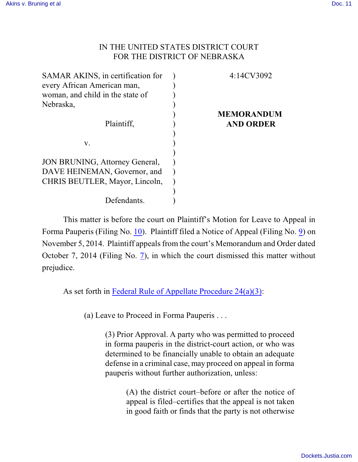## IN THE UNITED STATES DISTRICT COURT FOR THE DISTRICT OF NEBRASKA

| 4:14CV3092        |
|-------------------|
|                   |
|                   |
|                   |
| <b>MEMORANDUM</b> |
| <b>AND ORDER</b>  |
|                   |
|                   |
|                   |
|                   |
|                   |
|                   |
|                   |
|                   |
|                   |

This matter is before the court on Plaintiff's Motion for Leave to Appeal in Forma Pauperis (Filing No. [10](http://ecf.ned.uscourts.gov/doc1/11313143441)). Plaintiff filed a Notice of Appeal (Filing No. [9](http://ecf.ned.uscourts.gov/doc1/11313143438)) on November 5, 2014. Plaintiff appeals from the court's Memorandum and Order dated October 7, 2014 (Filing No. [7](http://ecf.ned.uscourts.gov/doc1/11313121767)), in which the court dismissed this matter without prejudice.

As set forth in [Federal Rule of Appellate Procedure 24\(a\)\(3\)](http://web2.westlaw.com/find/default.wl?rp=%2ffind%2fdefault.wl&sv=Split&utid=3&rs=WLW11.04&cite=frap+24&fn=_top&mt=EighthCircuit&vr=2.0):

(a) Leave to Proceed in Forma Pauperis . . .

(3) Prior Approval. A party who was permitted to proceed in forma pauperis in the district-court action, or who was determined to be financially unable to obtain an adequate defense in a criminal case, may proceed on appeal in forma pauperis without further authorization, unless:

> (A) the district court–before or after the notice of appeal is filed–certifies that the appeal is not taken in good faith or finds that the party is not otherwise